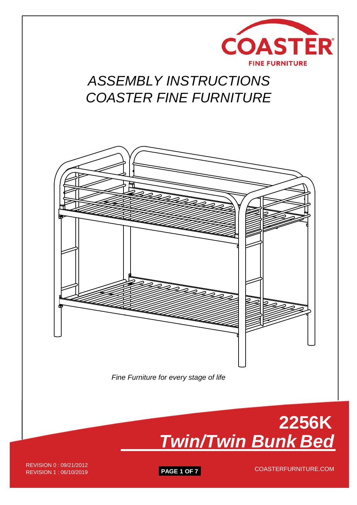

## *ASSEMBLY INSTRUCTIONS COASTER FINE FURNITURE*





REVISION 1 : 06/10/2019 **PAGE 1 OF 7** REVISION 0 : 09/21/2012<br>REVISION 1 : 06/10/2010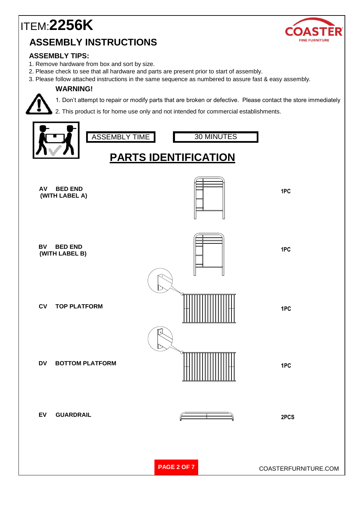

#### **ASSEMBLY TIPS:**

- 1. Remove hardware from box and sort by size.
- 2. Please check to see that all hardware and parts are present prior to start of assembly.
- 3. Please follow attached instructions in the same sequence as numbered to assure fast & easy assembly.

#### **WARNING!**



1. Don't attempt to repair or modify parts that are broken or defective. Please contact the store immediately

2. This product is for home use only and not intended for commercial establishments.

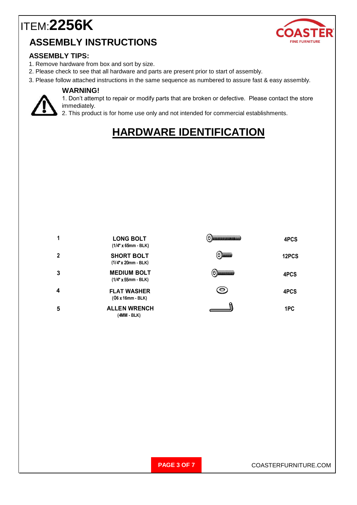

#### **ASSEMBLY TIPS:**

- 1. Remove hardware from box and sort by size.
- 2. Please check to see that all hardware and parts are present prior to start of assembly.
- 3. Please follow attached instructions in the same sequence as numbered to assure fast & easy assembly.

#### **WARNING!**



1. Don't attempt to repair or modify parts that are broken or defective. Please contact the store immediately.

2. This product is for home use only and not intended for commercial establishments.

## **HARDWARE IDENTIFICATION**

|   | <b>LONG BOLT</b><br>$(1/4" \times 65$ mm - BLK)   | $(\ominus)$ ) of the contract of the contract of $(\ominus)$ | 4PCS  |  |
|---|---------------------------------------------------|--------------------------------------------------------------|-------|--|
| 2 | <b>SHORT BOLT</b><br>$(1/4"$ x 20mm - BLK)        | $(\theta)$ (in the set of $\theta$                           | 12PCS |  |
| 3 | <b>MEDIUM BOLT</b><br>$(1/4" \times 55$ mm - BLK) | (0) <b>DESCRIPTION</b>                                       | 4PCS  |  |
| 4 | <b>FLAT WASHER</b><br>$(06x16mm - BLK)$           | $\odot$                                                      | 4PCS  |  |
| 5 | <b>ALLEN WRENCH</b><br>(4MM - BLK)                |                                                              | 1PC   |  |

**PAGE 3 OF 7** COASTERFURNITURE.COM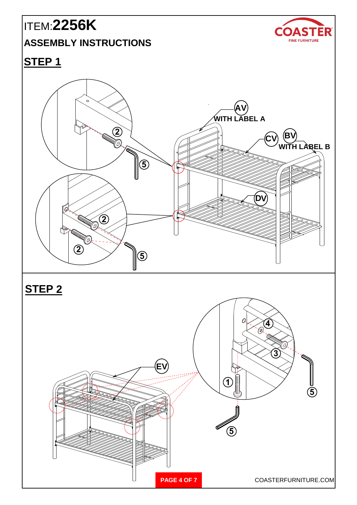# ITEM:**2256K**

#### **ASSEMBLY INSTRUCTIONS**



## **STEP 1**





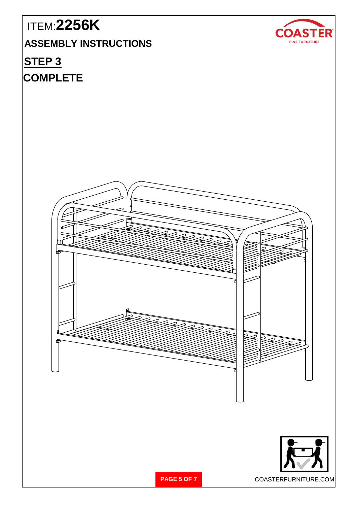# ITEM:**2256K COASTER ASSEMBLY INSTRUCTIONS** FINE FURNITURE **STEP 3 COMPLETEPAGE 5 OF 7** COASTERFURNITURE.COM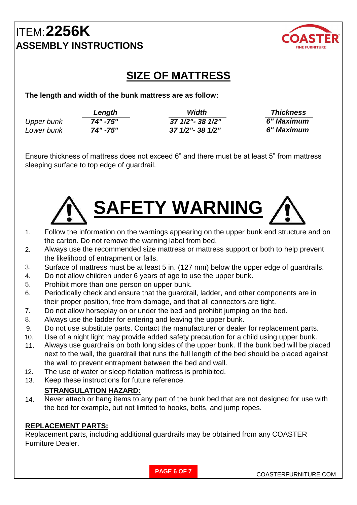

## **SIZE OF MATTRESS**

**The length and width of the bunk mattress are as follow:**

|                   | Length   | Width             | <b>Thickness</b> |
|-------------------|----------|-------------------|------------------|
| <b>Upper bunk</b> | 74" -75" | 37 1/2" - 38 1/2" | 6" Maximum       |
| Lower bunk        | 74" -75" | 37 1/2"- 38 1/2"  | 6" Maximum       |

Ensure thickness of mattress does not exceed 6" and there must be at least 5" from mattress sleeping surface to top edge of guardrail.



- 1. Follow the information on the warnings appearing on the upper bunk end structure and on the carton. Do not remove the warning label from bed.
- 2. Always use the recommended size mattress or mattress support or both to help prevent the likelihood of entrapment or falls.
- 3. Surface of mattress must be at least 5 in. (127 mm) below the upper edge of guardrails.
- 4. Do not allow children under 6 years of age to use the upper bunk.
- 5. Prohibit more than one person on upper bunk.
- 6. Periodically check and ensure that the guardrail, ladder, and other components are in their proper position, free from damage, and that all connectors are tight.
- 7. Do not allow horseplay on or under the bed and prohibit jumping on the bed.
- 8. Always use the ladder for entering and leaving the upper bunk.
- 9. Do not use substitute parts. Contact the manufacturer or dealer for replacement parts.
- 10. Use of a night light may provide added safety precaution for a child using upper bunk.
- 11. Always use guardrails on both long sides of the upper bunk. If the bunk bed will be placed next to the wall, the guardrail that runs the full length of the bed should be placed against the wall to prevent entrapment between the bed and wall.
- 12. The use of water or sleep flotation mattress is prohibited.
- 13. Keep these instructions for future reference.

#### **STRANGULATION HAZARD:**

14. Never attach or hang items to any part of the bunk bed that are not designed for use with the bed for example, but not limited to hooks, belts, and jump ropes.

#### **REPLACEMENT PARTS:**

Replacement parts, including additional guardrails may be obtained from any COASTER Furniture Dealer.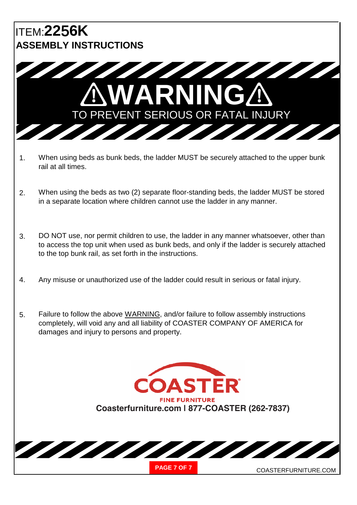

- 1. When using beds as bunk beds, the ladder MUST be securely attached to the upper bunk rail at all times.
- 2. When using the beds as two (2) separate floor-standing beds, the ladder MUST be stored in a separate location where children cannot use the ladder in any manner.
- 3. DO NOT use, nor permit children to use, the ladder in any manner whatsoever, other than to access the top unit when used as bunk beds, and only if the ladder is securely attached to the top bunk rail, as set forth in the instructions.
- 4. Any misuse or unauthorized use of the ladder could result in serious or fatal injury.
- 5. Failure to follow the above WARNING, and/or failure to follow assembly instructions completely, will void any and all liability of COASTER COMPANY OF AMERICA for damages and injury to persons and property.

**ASTER FINE FURNITURE Coasterfurniture.com | 877-COASTER (262-7837)**